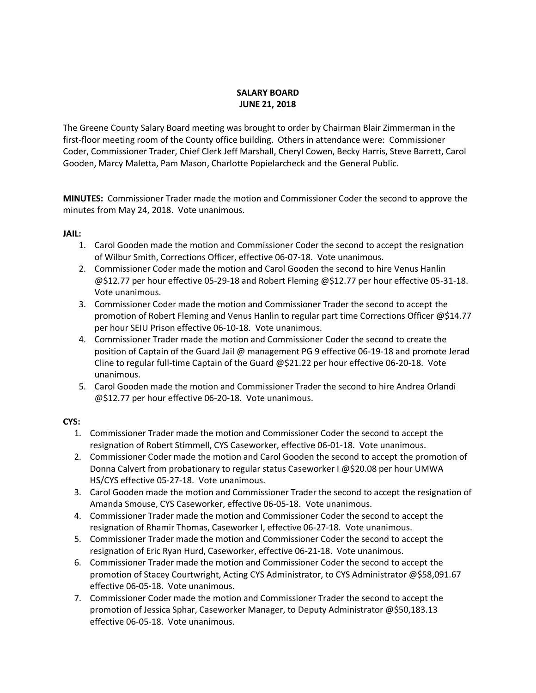# **SALARY BOARD JUNE 21, 2018**

The Greene County Salary Board meeting was brought to order by Chairman Blair Zimmerman in the first-floor meeting room of the County office building. Others in attendance were: Commissioner Coder, Commissioner Trader, Chief Clerk Jeff Marshall, Cheryl Cowen, Becky Harris, Steve Barrett, Carol Gooden, Marcy Maletta, Pam Mason, Charlotte Popielarcheck and the General Public.

**MINUTES:** Commissioner Trader made the motion and Commissioner Coder the second to approve the minutes from May 24, 2018. Vote unanimous.

# **JAIL:**

- 1. Carol Gooden made the motion and Commissioner Coder the second to accept the resignation of Wilbur Smith, Corrections Officer, effective 06-07-18. Vote unanimous.
- 2. Commissioner Coder made the motion and Carol Gooden the second to hire Venus Hanlin @\$12.77 per hour effective 05-29-18 and Robert Fleming @\$12.77 per hour effective 05-31-18. Vote unanimous.
- 3. Commissioner Coder made the motion and Commissioner Trader the second to accept the promotion of Robert Fleming and Venus Hanlin to regular part time Corrections Officer @\$14.77 per hour SEIU Prison effective 06-10-18. Vote unanimous.
- 4. Commissioner Trader made the motion and Commissioner Coder the second to create the position of Captain of the Guard Jail @ management PG 9 effective 06-19-18 and promote Jerad Cline to regular full-time Captain of the Guard @\$21.22 per hour effective 06-20-18. Vote unanimous.
- 5. Carol Gooden made the motion and Commissioner Trader the second to hire Andrea Orlandi @\$12.77 per hour effective 06-20-18. Vote unanimous.

# **CYS:**

- 1. Commissioner Trader made the motion and Commissioner Coder the second to accept the resignation of Robert Stimmell, CYS Caseworker, effective 06-01-18. Vote unanimous.
- 2. Commissioner Coder made the motion and Carol Gooden the second to accept the promotion of Donna Calvert from probationary to regular status Caseworker I @\$20.08 per hour UMWA HS/CYS effective 05-27-18. Vote unanimous.
- 3. Carol Gooden made the motion and Commissioner Trader the second to accept the resignation of Amanda Smouse, CYS Caseworker, effective 06-05-18. Vote unanimous.
- 4. Commissioner Trader made the motion and Commissioner Coder the second to accept the resignation of Rhamir Thomas, Caseworker I, effective 06-27-18. Vote unanimous.
- 5. Commissioner Trader made the motion and Commissioner Coder the second to accept the resignation of Eric Ryan Hurd, Caseworker, effective 06-21-18. Vote unanimous.
- 6. Commissioner Trader made the motion and Commissioner Coder the second to accept the promotion of Stacey Courtwright, Acting CYS Administrator, to CYS Administrator @\$58,091.67 effective 06-05-18. Vote unanimous.
- 7. Commissioner Coder made the motion and Commissioner Trader the second to accept the promotion of Jessica Sphar, Caseworker Manager, to Deputy Administrator @\$50,183.13 effective 06-05-18. Vote unanimous.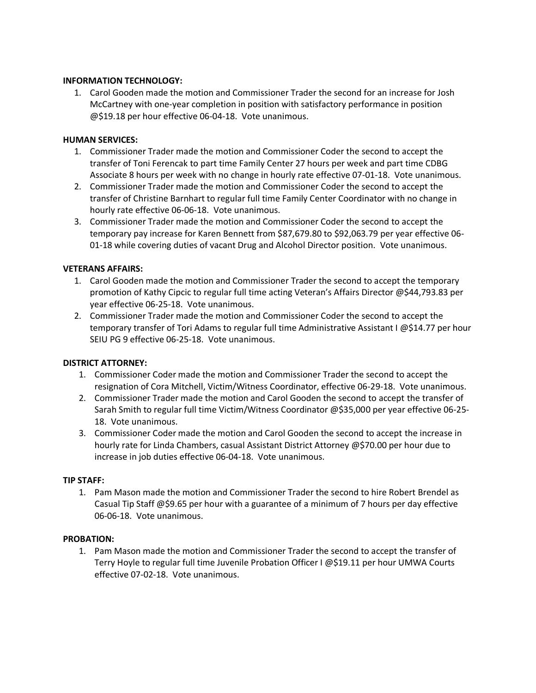## **INFORMATION TECHNOLOGY:**

1. Carol Gooden made the motion and Commissioner Trader the second for an increase for Josh McCartney with one-year completion in position with satisfactory performance in position @\$19.18 per hour effective 06-04-18. Vote unanimous.

# **HUMAN SERVICES:**

- 1. Commissioner Trader made the motion and Commissioner Coder the second to accept the transfer of Toni Ferencak to part time Family Center 27 hours per week and part time CDBG Associate 8 hours per week with no change in hourly rate effective 07-01-18. Vote unanimous.
- 2. Commissioner Trader made the motion and Commissioner Coder the second to accept the transfer of Christine Barnhart to regular full time Family Center Coordinator with no change in hourly rate effective 06-06-18. Vote unanimous.
- 3. Commissioner Trader made the motion and Commissioner Coder the second to accept the temporary pay increase for Karen Bennett from \$87,679.80 to \$92,063.79 per year effective 06- 01-18 while covering duties of vacant Drug and Alcohol Director position. Vote unanimous.

# **VETERANS AFFAIRS:**

- 1. Carol Gooden made the motion and Commissioner Trader the second to accept the temporary promotion of Kathy Cipcic to regular full time acting Veteran's Affairs Director @\$44,793.83 per year effective 06-25-18. Vote unanimous.
- 2. Commissioner Trader made the motion and Commissioner Coder the second to accept the temporary transfer of Tori Adams to regular full time Administrative Assistant I @\$14.77 per hour SEIU PG 9 effective 06-25-18. Vote unanimous.

# **DISTRICT ATTORNEY:**

- 1. Commissioner Coder made the motion and Commissioner Trader the second to accept the resignation of Cora Mitchell, Victim/Witness Coordinator, effective 06-29-18. Vote unanimous.
- 2. Commissioner Trader made the motion and Carol Gooden the second to accept the transfer of Sarah Smith to regular full time Victim/Witness Coordinator @\$35,000 per year effective 06-25- 18. Vote unanimous.
- 3. Commissioner Coder made the motion and Carol Gooden the second to accept the increase in hourly rate for Linda Chambers, casual Assistant District Attorney @\$70.00 per hour due to increase in job duties effective 06-04-18. Vote unanimous.

#### **TIP STAFF:**

1. Pam Mason made the motion and Commissioner Trader the second to hire Robert Brendel as Casual Tip Staff @\$9.65 per hour with a guarantee of a minimum of 7 hours per day effective 06-06-18. Vote unanimous.

# **PROBATION:**

1. Pam Mason made the motion and Commissioner Trader the second to accept the transfer of Terry Hoyle to regular full time Juvenile Probation Officer I @\$19.11 per hour UMWA Courts effective 07-02-18. Vote unanimous.